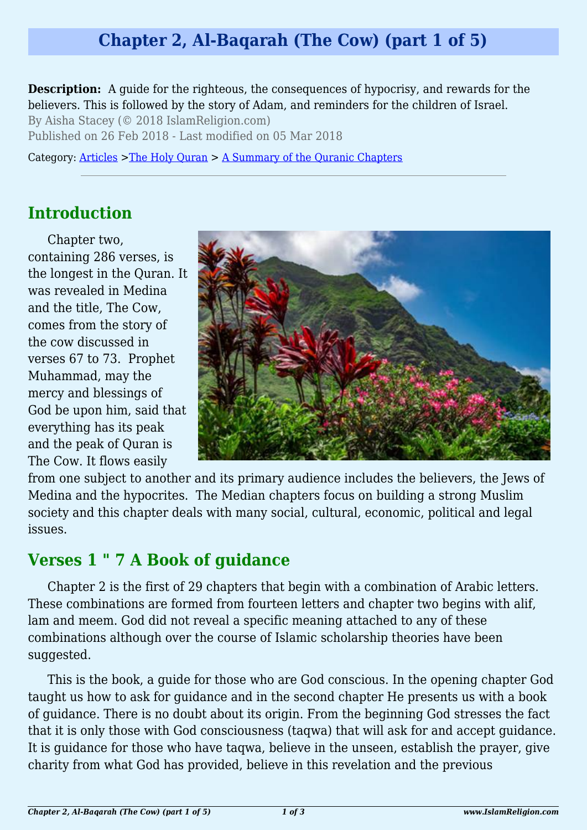# **Chapter 2, Al-Baqarah (The Cow) (part 1 of 5)**

**Description:** A guide for the righteous, the consequences of hypocrisy, and rewards for the believers. This is followed by the story of Adam, and reminders for the children of Israel.

By Aisha Stacey (© 2018 IslamReligion.com) Published on 26 Feb 2018 - Last modified on 05 Mar 2018

Category: [Articles](http://www.islamreligion.com/articles/) >[The Holy Quran](http://www.islamreligion.com/category/75/) > [A Summary of the Quranic Chapters](http://www.islamreligion.com/category/77/)

### **Introduction**

Chapter two, containing 286 verses, is the longest in the Quran. It was revealed in Medina and the title, The Cow, comes from the story of the cow discussed in verses 67 to 73. Prophet Muhammad, may the mercy and blessings of God be upon him, said that everything has its peak and the peak of Quran is The Cow. It flows easily



from one subject to another and its primary audience includes the believers, the Jews of Medina and the hypocrites. The Median chapters focus on building a strong Muslim society and this chapter deals with many social, cultural, economic, political and legal issues.

### **Verses 1 " 7 A Book of guidance**

Chapter 2 is the first of 29 chapters that begin with a combination of Arabic letters. These combinations are formed from fourteen letters and chapter two begins with alif, lam and meem. God did not reveal a specific meaning attached to any of these combinations although over the course of Islamic scholarship theories have been suggested.

This is the book, a guide for those who are God conscious. In the opening chapter God taught us how to ask for guidance and in the second chapter He presents us with a book of guidance. There is no doubt about its origin. From the beginning God stresses the fact that it is only those with God consciousness (taqwa) that will ask for and accept guidance. It is guidance for those who have taqwa, believe in the unseen, establish the prayer, give charity from what God has provided, believe in this revelation and the previous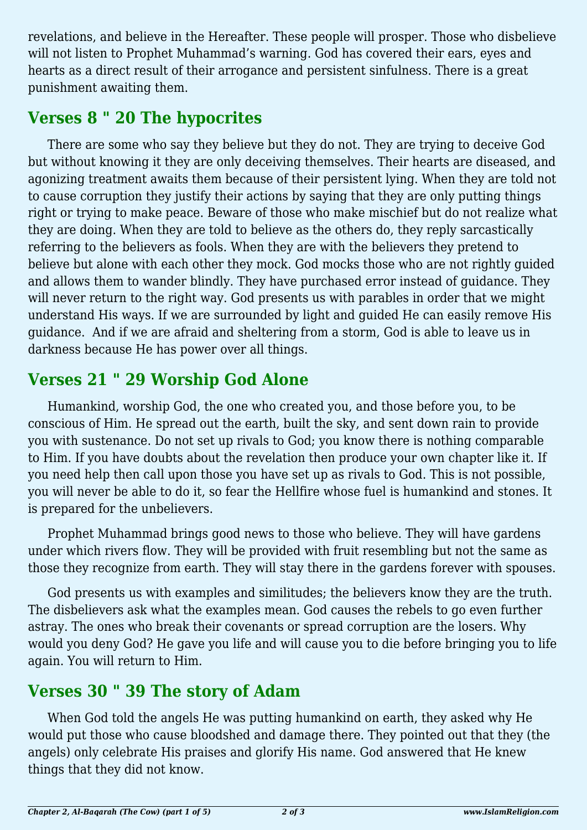revelations, and believe in the Hereafter. These people will prosper. Those who disbelieve will not listen to Prophet Muhammad's warning. God has covered their ears, eyes and hearts as a direct result of their arrogance and persistent sinfulness. There is a great punishment awaiting them.

### **Verses 8 " 20 The hypocrites**

There are some who say they believe but they do not. They are trying to deceive God but without knowing it they are only deceiving themselves. Their hearts are diseased, and agonizing treatment awaits them because of their persistent lying. When they are told not to cause corruption they justify their actions by saying that they are only putting things right or trying to make peace. Beware of those who make mischief but do not realize what they are doing. When they are told to believe as the others do, they reply sarcastically referring to the believers as fools. When they are with the believers they pretend to believe but alone with each other they mock. God mocks those who are not rightly guided and allows them to wander blindly. They have purchased error instead of guidance. They will never return to the right way. God presents us with parables in order that we might understand His ways. If we are surrounded by light and guided He can easily remove His guidance. And if we are afraid and sheltering from a storm, God is able to leave us in darkness because He has power over all things.

# **Verses 21 " 29 Worship God Alone**

Humankind, worship God, the one who created you, and those before you, to be conscious of Him. He spread out the earth, built the sky, and sent down rain to provide you with sustenance. Do not set up rivals to God; you know there is nothing comparable to Him. If you have doubts about the revelation then produce your own chapter like it. If you need help then call upon those you have set up as rivals to God. This is not possible, you will never be able to do it, so fear the Hellfire whose fuel is humankind and stones. It is prepared for the unbelievers.

Prophet Muhammad brings good news to those who believe. They will have gardens under which rivers flow. They will be provided with fruit resembling but not the same as those they recognize from earth. They will stay there in the gardens forever with spouses.

God presents us with examples and similitudes; the believers know they are the truth. The disbelievers ask what the examples mean. God causes the rebels to go even further astray. The ones who break their covenants or spread corruption are the losers. Why would you deny God? He gave you life and will cause you to die before bringing you to life again. You will return to Him.

# **Verses 30 " 39 The story of Adam**

When God told the angels He was putting humankind on earth, they asked why He would put those who cause bloodshed and damage there. They pointed out that they (the angels) only celebrate His praises and glorify His name. God answered that He knew things that they did not know.